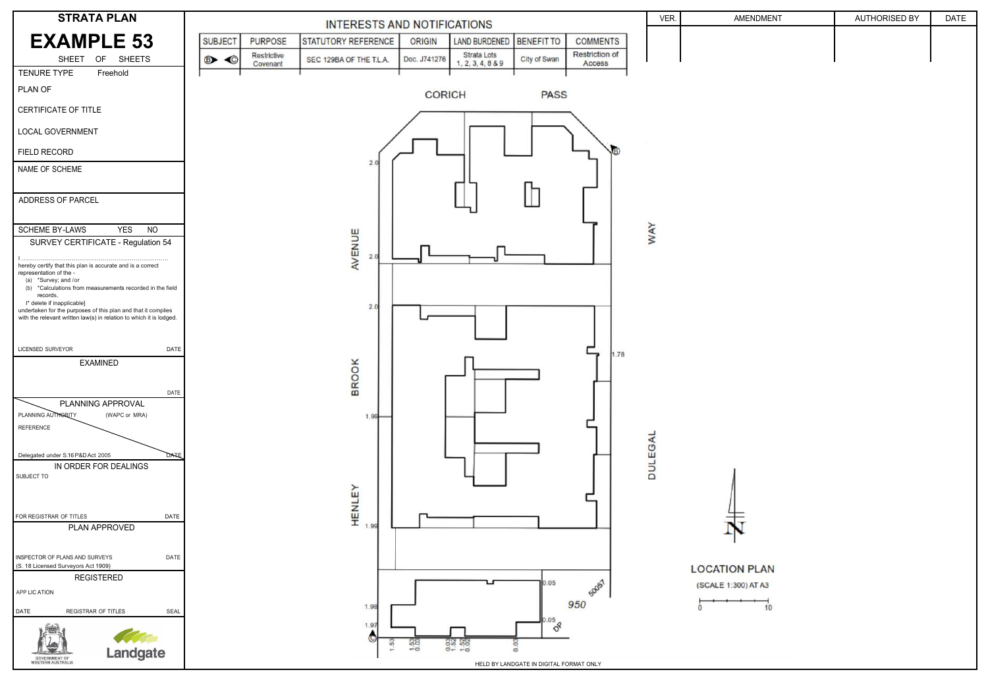

| ENDMENT     | AUTHORISED BY | DATE |
|-------------|---------------|------|
|             |               |      |
|             |               |      |
|             |               |      |
|             |               |      |
|             |               |      |
|             |               |      |
|             |               |      |
|             |               |      |
|             |               |      |
|             |               |      |
|             |               |      |
|             |               |      |
|             |               |      |
|             |               |      |
|             |               |      |
|             |               |      |
|             |               |      |
|             |               |      |
|             |               |      |
|             |               |      |
|             |               |      |
|             |               |      |
| i           |               |      |
|             |               |      |
| <b>PLAN</b> |               |      |
| AT A3       |               |      |

10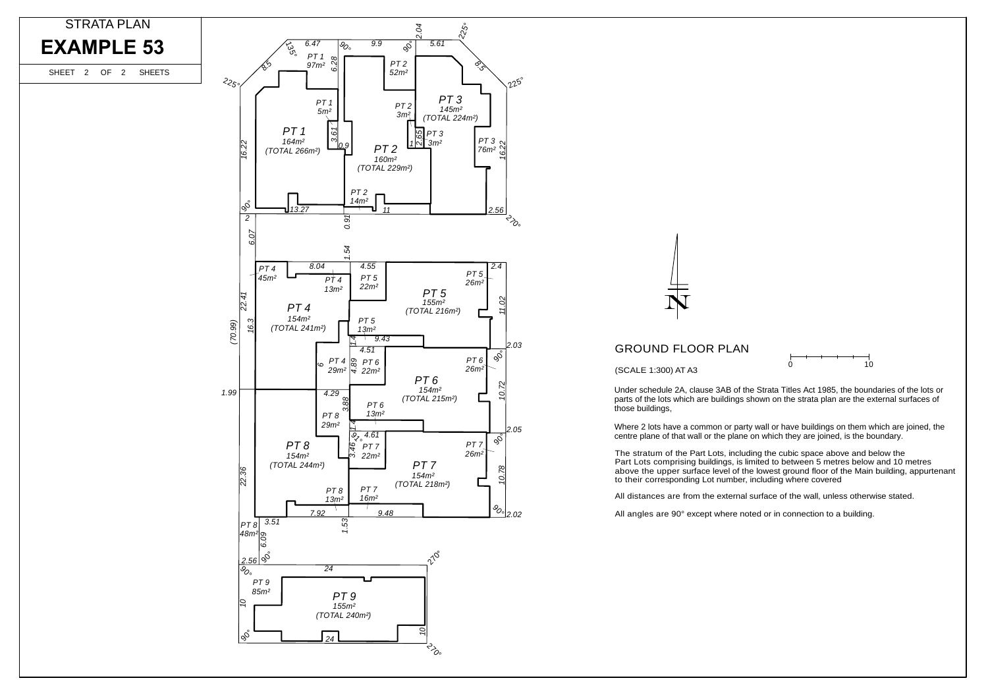All distances are from the external surface of the wall, unless otherwise stated.



 $\cap$ 

10

The stratum of the Part Lots, including the cubic space above and below the Part Lots comprising buildings, is limited to between 5 metres below and 10 metres above the upper surface level of the lowest ground floor of the Main building, appurtenant

Under schedule 2A, clause 3AB of the Strata Titles Act 1985, the boundaries of the lots or parts of the lots which are buildings shown on the strata plan are the external surfaces of

Where 2 lots have a common or party wall or have buildings on them which are joined, the centre plane of that wall or the plane on which they are joined, is the boundary.